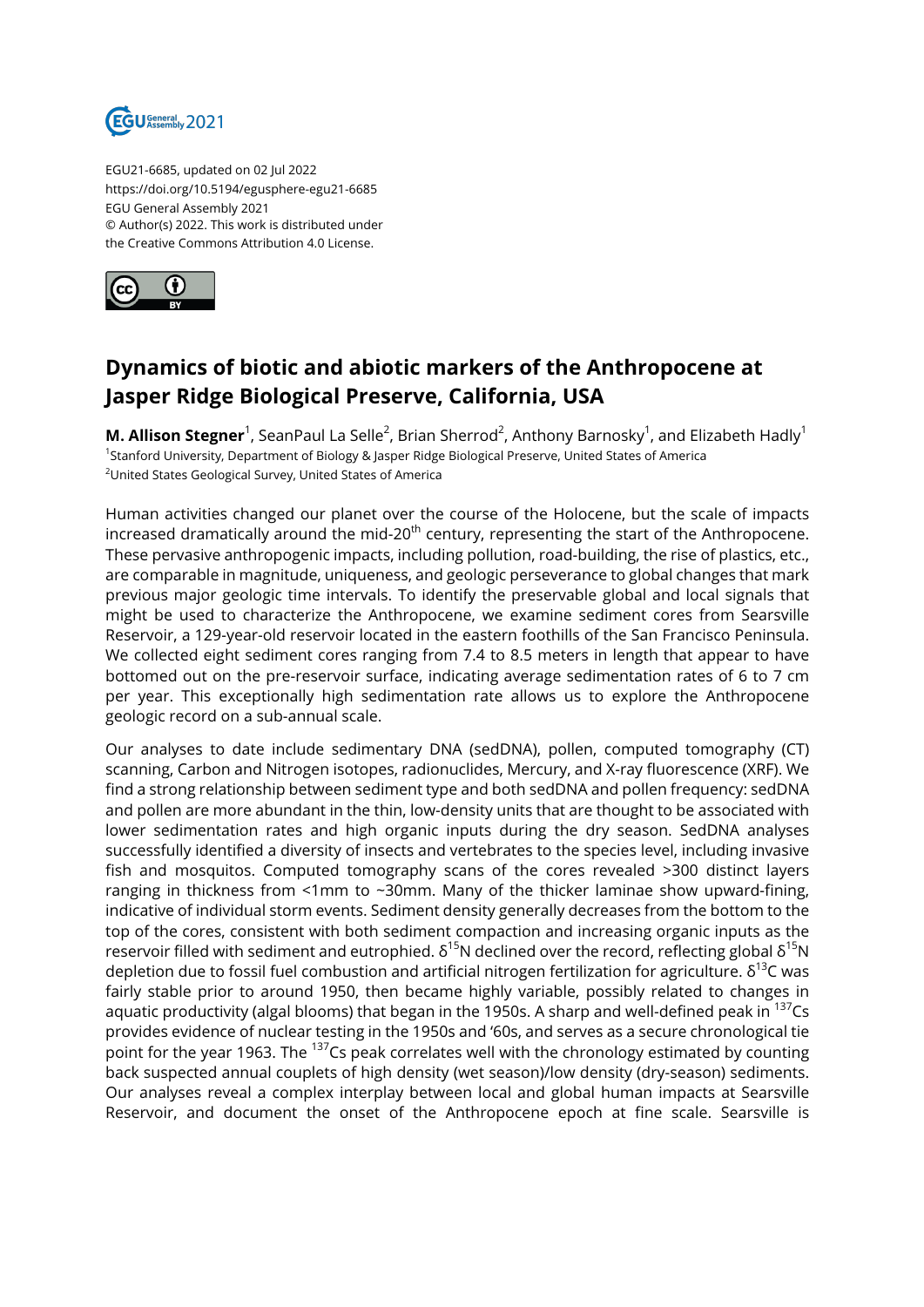

EGU21-6685, updated on 02 Jul 2022 https://doi.org/10.5194/egusphere-egu21-6685 EGU General Assembly 2021 © Author(s) 2022. This work is distributed under the Creative Commons Attribution 4.0 License.



## **Dynamics of biotic and abiotic markers of the Anthropocene at Jasper Ridge Biological Preserve, California, USA**

**M. Allison Stegner**<sup>1</sup>, SeanPaul La Selle<sup>2</sup>, Brian Sherrod<sup>2</sup>, Anthony Barnosky<sup>1</sup>, and Elizabeth Hadly<sup>1</sup> 1 Stanford University, Department of Biology & Jasper Ridge Biological Preserve, United States of America <sup>2</sup>United States Geological Survey, United States of America

Human activities changed our planet over the course of the Holocene, but the scale of impacts increased dramatically around the mid-20<sup>th</sup> century, representing the start of the Anthropocene. These pervasive anthropogenic impacts, including pollution, road-building, the rise of plastics, etc., are comparable in magnitude, uniqueness, and geologic perseverance to global changes that mark previous major geologic time intervals. To identify the preservable global and local signals that might be used to characterize the Anthropocene, we examine sediment cores from Searsville Reservoir, a 129-year-old reservoir located in the eastern foothills of the San Francisco Peninsula. We collected eight sediment cores ranging from 7.4 to 8.5 meters in length that appear to have bottomed out on the pre-reservoir surface, indicating average sedimentation rates of 6 to 7 cm per year. This exceptionally high sedimentation rate allows us to explore the Anthropocene geologic record on a sub-annual scale.

Our analyses to date include sedimentary DNA (sedDNA), pollen, computed tomography (CT) scanning, Carbon and Nitrogen isotopes, radionuclides, Mercury, and X-ray fluorescence (XRF). We find a strong relationship between sediment type and both sedDNA and pollen frequency: sedDNA and pollen are more abundant in the thin, low-density units that are thought to be associated with lower sedimentation rates and high organic inputs during the dry season. SedDNA analyses successfully identified a diversity of insects and vertebrates to the species level, including invasive fish and mosquitos. Computed tomography scans of the cores revealed >300 distinct layers ranging in thickness from <1mm to ~30mm. Many of the thicker laminae show upward-fining, indicative of individual storm events. Sediment density generally decreases from the bottom to the top of the cores, consistent with both sediment compaction and increasing organic inputs as the reservoir filled with sediment and eutrophied.  $\delta^{15}N$  declined over the record, reflecting global  $\delta^{15}N$ depletion due to fossil fuel combustion and artificial nitrogen fertilization for agriculture.  $\delta^{13}$ C was fairly stable prior to around 1950, then became highly variable, possibly related to changes in aquatic productivity (algal blooms) that began in the 1950s. A sharp and well-defined peak in  $^{137}$ Cs provides evidence of nuclear testing in the 1950s and '60s, and serves as a secure chronological tie point for the year 1963. The <sup>137</sup>Cs peak correlates well with the chronology estimated by counting back suspected annual couplets of high density (wet season)/low density (dry-season) sediments. Our analyses reveal a complex interplay between local and global human impacts at Searsville Reservoir, and document the onset of the Anthropocene epoch at fine scale. Searsville is